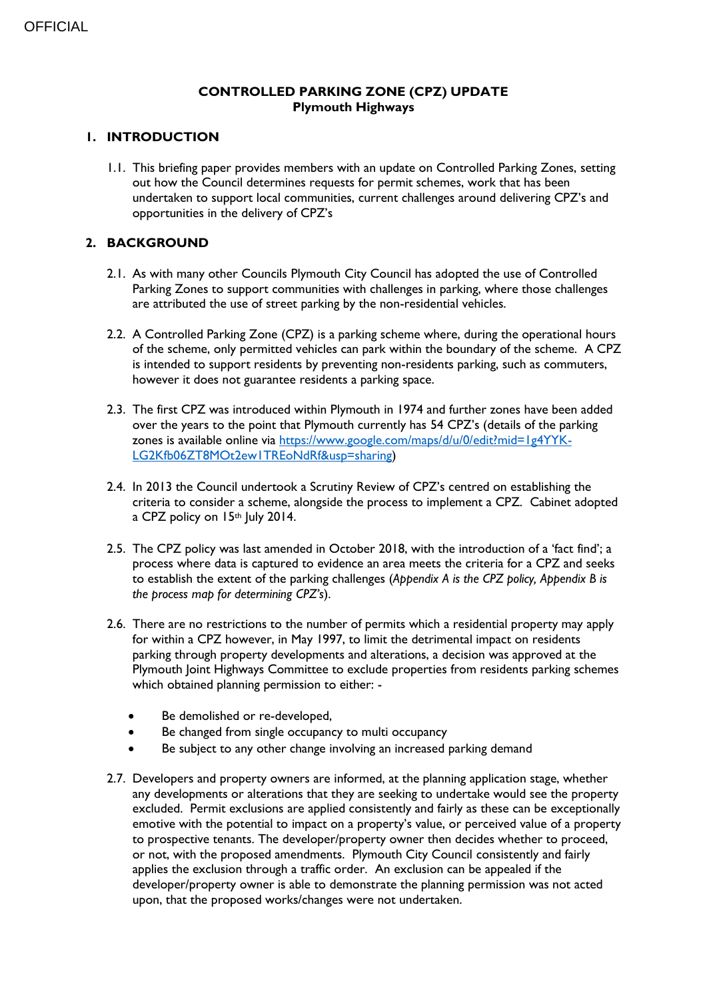# **CONTROLLED PARKING ZONE (CPZ) UPDATE Plymouth Highways**

## **1. INTRODUCTION**

1.1. This briefing paper provides members with an update on Controlled Parking Zones, setting out how the Council determines requests for permit schemes, work that has been undertaken to support local communities, current challenges around delivering CPZ's and opportunities in the delivery of CPZ's

# **2. BACKGROUND**

- 2.1. As with many other Councils Plymouth City Council has adopted the use of Controlled Parking Zones to support communities with challenges in parking, where those challenges are attributed the use of street parking by the non-residential vehicles.
- 2.2. A Controlled Parking Zone (CPZ) is a parking scheme where, during the operational hours of the scheme, only permitted vehicles can park within the boundary of the scheme. A CPZ is intended to support residents by preventing non-residents parking, such as commuters, however it does not guarantee residents a parking space.
- 2.3. The first CPZ was introduced within Plymouth in 1974 and further zones have been added over the years to the point that Plymouth currently has 54 CPZ's (details of the parking zones is available online via [https://www.google.com/maps/d/u/0/edit?mid=1g4YYK-](https://www.google.com/maps/d/u/0/edit?mid=1g4YYK-LG2Kfb06ZT8MOt2ew1TREoNdRf&usp=sharing)[LG2Kfb06ZT8MOt2ew1TREoNdRf&usp=sharing\)](https://www.google.com/maps/d/u/0/edit?mid=1g4YYK-LG2Kfb06ZT8MOt2ew1TREoNdRf&usp=sharing)
- 2.4. In 2013 the Council undertook a Scrutiny Review of CPZ's centred on establishing the criteria to consider a scheme, alongside the process to implement a CPZ. Cabinet adopted a CPZ policy on 15th July 2014.
- 2.5. The CPZ policy was last amended in October 2018, with the introduction of a 'fact find'; a process where data is captured to evidence an area meets the criteria for a CPZ and seeks to establish the extent of the parking challenges (*Appendix A is the CPZ policy, Appendix B is the process map for determining CPZ's*).
- 2.6. There are no restrictions to the number of permits which a residential property may apply for within a CPZ however, in May 1997, to limit the detrimental impact on residents parking through property developments and alterations, a decision was approved at the Plymouth Joint Highways Committee to exclude properties from residents parking schemes which obtained planning permission to either: -
	- Be demolished or re-developed,
	- Be changed from single occupancy to multi occupancy
	- Be subject to any other change involving an increased parking demand
- 2.7. Developers and property owners are informed, at the planning application stage, whether any developments or alterations that they are seeking to undertake would see the property excluded. Permit exclusions are applied consistently and fairly as these can be exceptionally emotive with the potential to impact on a property's value, or perceived value of a property to prospective tenants. The developer/property owner then decides whether to proceed, or not, with the proposed amendments. Plymouth City Council consistently and fairly applies the exclusion through a traffic order. An exclusion can be appealed if the developer/property owner is able to demonstrate the planning permission was not acted upon, that the proposed works/changes were not undertaken.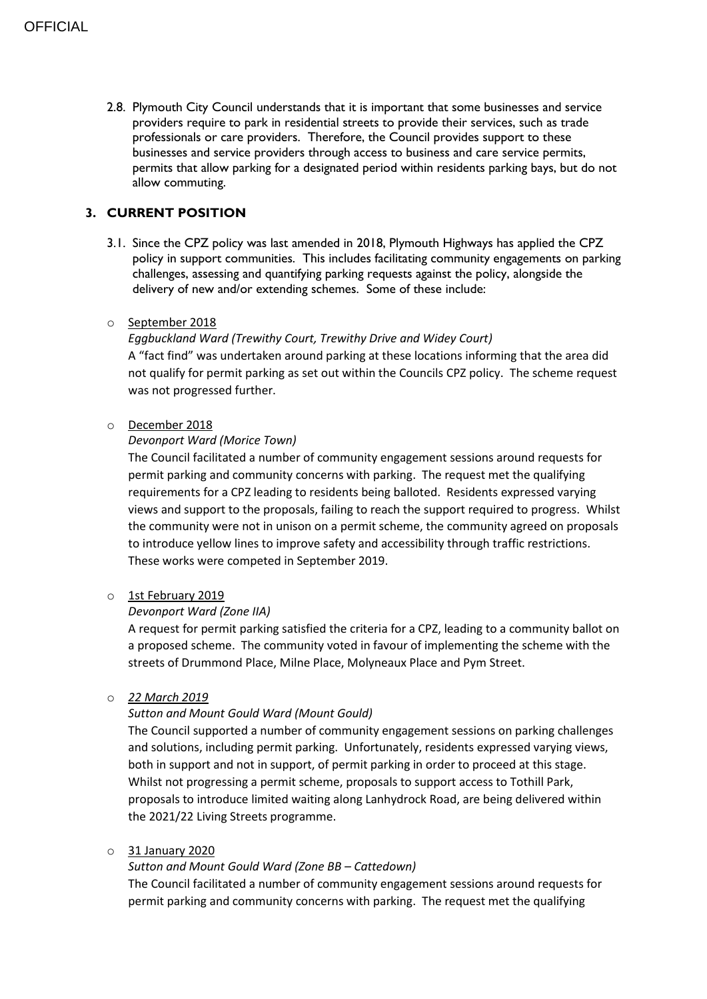2.8. Plymouth City Council understands that it is important that some businesses and service providers require to park in residential streets to provide their services, such as trade professionals or care providers. Therefore, the Council provides support to these businesses and service providers through access to business and care service permits, permits that allow parking for a designated period within residents parking bays, but do not allow commuting.

# **3. CURRENT POSITION**

3.1. Since the CPZ policy was last amended in 2018, Plymouth Highways has applied the CPZ policy in support communities. This includes facilitating community engagements on parking challenges, assessing and quantifying parking requests against the policy, alongside the delivery of new and/or extending schemes. Some of these include:

## o September 2018

## *Eggbuckland Ward (Trewithy Court, Trewithy Drive and Widey Court)* A "fact find" was undertaken around parking at these locations informing that the area did

not qualify for permit parking as set out within the Councils CPZ policy. The scheme request was not progressed further.

## o December 2018

## *Devonport Ward (Morice Town)*

The Council facilitated a number of community engagement sessions around requests for permit parking and community concerns with parking. The request met the qualifying requirements for a CPZ leading to residents being balloted. Residents expressed varying views and support to the proposals, failing to reach the support required to progress. Whilst the community were not in unison on a permit scheme, the community agreed on proposals to introduce yellow lines to improve safety and accessibility through traffic restrictions. These works were competed in September 2019.

#### o 1st February 2019

#### *Devonport Ward (Zone IIA)*

A request for permit parking satisfied the criteria for a CPZ, leading to a community ballot on a proposed scheme. The community voted in favour of implementing the scheme with the streets of Drummond Place, Milne Place, Molyneaux Place and Pym Street.

#### o *22 March 2019*

## *Sutton and Mount Gould Ward (Mount Gould)*

The Council supported a number of community engagement sessions on parking challenges and solutions, including permit parking. Unfortunately, residents expressed varying views, both in support and not in support, of permit parking in order to proceed at this stage. Whilst not progressing a permit scheme, proposals to support access to Tothill Park, proposals to introduce limited waiting along Lanhydrock Road, are being delivered within the 2021/22 Living Streets programme.

#### o 31 January 2020

## *Sutton and Mount Gould Ward (Zone BB – Cattedown)*

The Council facilitated a number of community engagement sessions around requests for permit parking and community concerns with parking. The request met the qualifying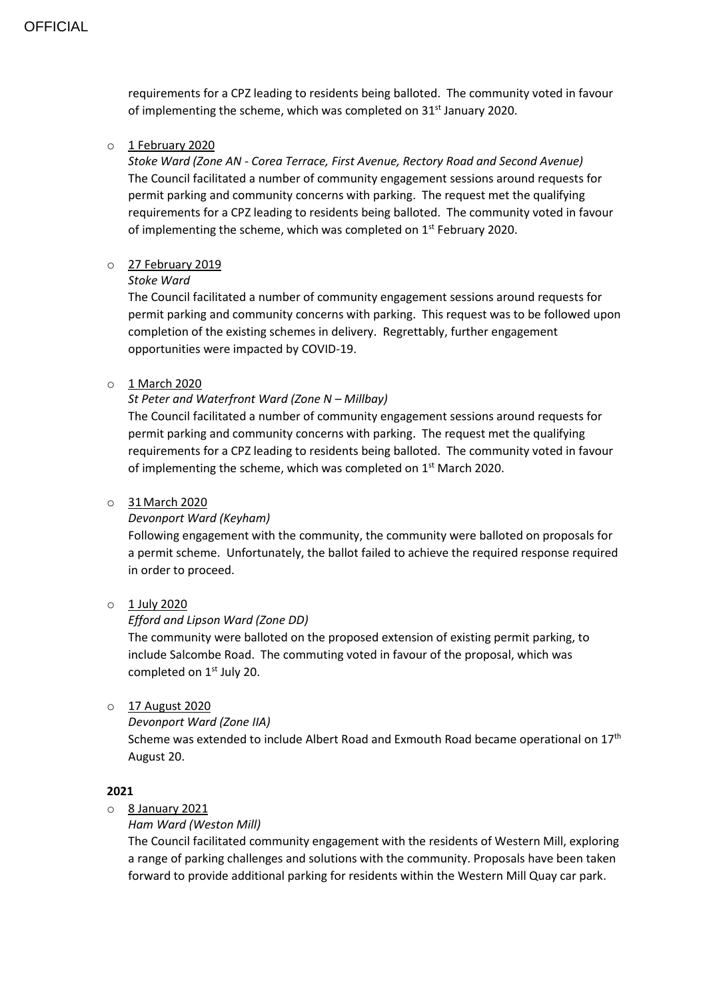requirements for a CPZ leading to residents being balloted. The community voted in favour of implementing the scheme, which was completed on 31<sup>st</sup> January 2020.

#### o 1 February 2020

*Stoke Ward (Zone AN - Corea Terrace, First Avenue, Rectory Road and Second Avenue)* The Council facilitated a number of community engagement sessions around requests for permit parking and community concerns with parking. The request met the qualifying requirements for a CPZ leading to residents being balloted. The community voted in favour of implementing the scheme, which was completed on 1<sup>st</sup> February 2020.

## o 27 February 2019

## *Stoke Ward*

The Council facilitated a number of community engagement sessions around requests for permit parking and community concerns with parking. This request was to be followed upon completion of the existing schemes in delivery. Regrettably, further engagement opportunities were impacted by COVID-19.

## o 1 March 2020

## *St Peter and Waterfront Ward (Zone N – Millbay)*

The Council facilitated a number of community engagement sessions around requests for permit parking and community concerns with parking. The request met the qualifying requirements for a CPZ leading to residents being balloted. The community voted in favour of implementing the scheme, which was completed on  $1<sup>st</sup>$  March 2020.

#### o 31March 2020

#### *Devonport Ward (Keyham)*

Following engagement with the community, the community were balloted on proposals for a permit scheme. Unfortunately, the ballot failed to achieve the required response required in order to proceed.

## o 1 July 2020

## *Efford and Lipson Ward (Zone DD)*

The community were balloted on the proposed extension of existing permit parking, to include Salcombe Road. The commuting voted in favour of the proposal, which was completed on 1<sup>st</sup> July 20.

o 17 August 2020

```
Devonport Ward (Zone IIA)
```
Scheme was extended to include Albert Road and Exmouth Road became operational on 17<sup>th</sup> August 20.

## **2021**

o 8 January 2021

## *Ham Ward (Weston Mill)*

The Council facilitated community engagement with the residents of Western Mill, exploring a range of parking challenges and solutions with the community. Proposals have been taken forward to provide additional parking for residents within the Western Mill Quay car park.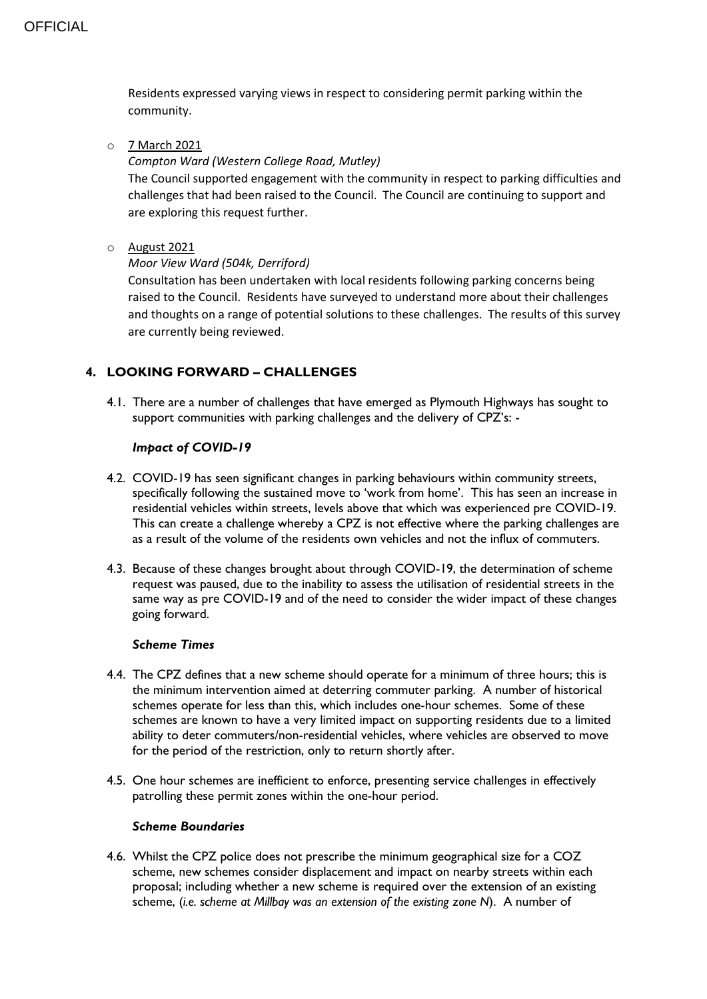Residents expressed varying views in respect to considering permit parking within the community.

o 7 March 2021

#### *Compton Ward (Western College Road, Mutley)*

The Council supported engagement with the community in respect to parking difficulties and challenges that had been raised to the Council. The Council are continuing to support and are exploring this request further.

## o August 2021

## *Moor View Ward (504k, Derriford)*

Consultation has been undertaken with local residents following parking concerns being raised to the Council. Residents have surveyed to understand more about their challenges and thoughts on a range of potential solutions to these challenges. The results of this survey are currently being reviewed.

# **4. LOOKING FORWARD – CHALLENGES**

4.1. There are a number of challenges that have emerged as Plymouth Highways has sought to support communities with parking challenges and the delivery of CPZ's: -

## *Impact of COVID-19*

- 4.2. COVID-19 has seen significant changes in parking behaviours within community streets, specifically following the sustained move to 'work from home'. This has seen an increase in residential vehicles within streets, levels above that which was experienced pre COVID-19. This can create a challenge whereby a CPZ is not effective where the parking challenges are as a result of the volume of the residents own vehicles and not the influx of commuters.
- 4.3. Because of these changes brought about through COVID-19, the determination of scheme request was paused, due to the inability to assess the utilisation of residential streets in the same way as pre COVID-19 and of the need to consider the wider impact of these changes going forward.

#### *Scheme Times*

- 4.4. The CPZ defines that a new scheme should operate for a minimum of three hours; this is the minimum intervention aimed at deterring commuter parking. A number of historical schemes operate for less than this, which includes one-hour schemes. Some of these schemes are known to have a very limited impact on supporting residents due to a limited ability to deter commuters/non-residential vehicles, where vehicles are observed to move for the period of the restriction, only to return shortly after.
- 4.5. One hour schemes are inefficient to enforce, presenting service challenges in effectively patrolling these permit zones within the one-hour period.

#### *Scheme Boundaries*

4.6. Whilst the CPZ police does not prescribe the minimum geographical size for a COZ scheme, new schemes consider displacement and impact on nearby streets within each proposal; including whether a new scheme is required over the extension of an existing scheme, (*i.e. scheme at Millbay was an extension of the existing zone N*). A number of